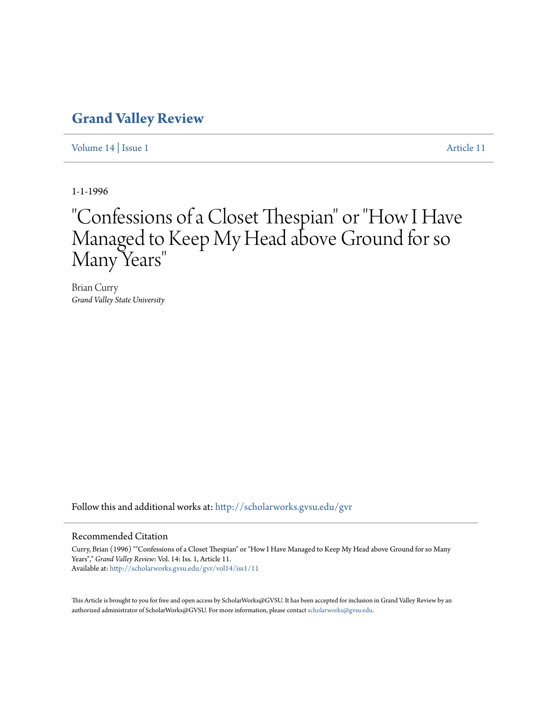### **[Grand Valley Review](http://scholarworks.gvsu.edu/gvr?utm_source=scholarworks.gvsu.edu%2Fgvr%2Fvol14%2Fiss1%2F11&utm_medium=PDF&utm_campaign=PDFCoverPages)**

[Volume 14](http://scholarworks.gvsu.edu/gvr/vol14?utm_source=scholarworks.gvsu.edu%2Fgvr%2Fvol14%2Fiss1%2F11&utm_medium=PDF&utm_campaign=PDFCoverPages) | [Issue 1](http://scholarworks.gvsu.edu/gvr/vol14/iss1?utm_source=scholarworks.gvsu.edu%2Fgvr%2Fvol14%2Fiss1%2F11&utm_medium=PDF&utm_campaign=PDFCoverPages) [Article 11](http://scholarworks.gvsu.edu/gvr/vol14/iss1/11?utm_source=scholarworks.gvsu.edu%2Fgvr%2Fvol14%2Fiss1%2F11&utm_medium=PDF&utm_campaign=PDFCoverPages)

1-1-1996

# "Confessions of a Closet Thespian" or "How I Have Managed to Keep My Head above Ground for so Many Years "

Brian Curry *Grand Valley State University*

Follow this and additional works at: [http://scholarworks.gvsu.edu/gvr](http://scholarworks.gvsu.edu/gvr?utm_source=scholarworks.gvsu.edu%2Fgvr%2Fvol14%2Fiss1%2F11&utm_medium=PDF&utm_campaign=PDFCoverPages)

#### Recommended Citation

Curry, Brian (1996) ""Confessions of a Closet Thespian" or "How I Have Managed to Keep My Head above Ground for so Many Years"," *Grand Valley Review*: Vol. 14: Iss. 1, Article 11. Available at: [http://scholarworks.gvsu.edu/gvr/vol14/iss1/11](http://scholarworks.gvsu.edu/gvr/vol14/iss1/11?utm_source=scholarworks.gvsu.edu%2Fgvr%2Fvol14%2Fiss1%2F11&utm_medium=PDF&utm_campaign=PDFCoverPages)

This Article is brought to you for free and open access by ScholarWorks@GVSU. It has been accepted for inclusion in Grand Valley Review by an authorized administrator of ScholarWorks@GVSU. For more information, please contact [scholarworks@gvsu.edu.](mailto:scholarworks@gvsu.edu)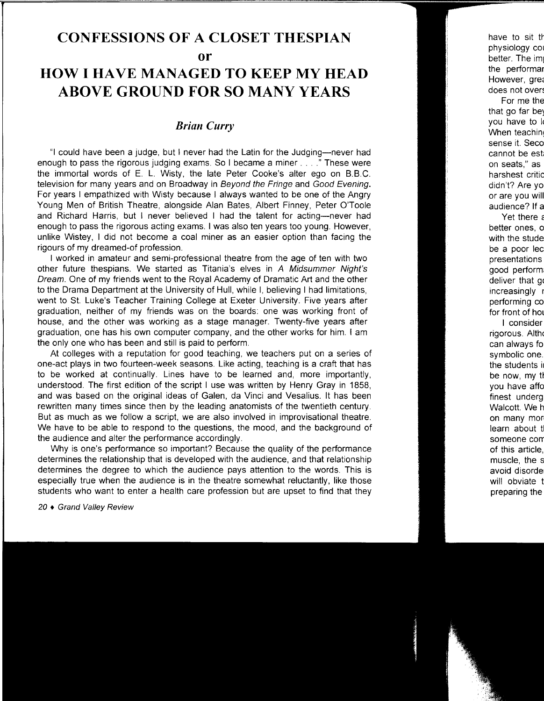## **CONFESSIONS OF A CLOSET THESPIAN or**

## **HOW I HAVE MANAGED TO KEEP MY HEAD ABOVE GROUND FOR SO MANY YEARS**

#### *Brian Curry*

"I could have been a judge, but I never had the Latin for the Judging-never had enough to pass the rigorous judging exams. So I became a miner .... " These were the immortal words of E. L. Wisty, the late Peter Cooke's alter ego on B.B.C. television for many years and on Broadway in Beyond the Fringe and Good Evening. For years I empathized with Wisty because I always wanted to be one of the Angry Young Men of British Theatre, alongside Alan Bates, Albert Finney, Peter O'Toole and Richard Harris, but I never believed I had the talent for acting-never had enough to pass the rigorous acting exams. I was also ten years too young. However, unlike Wistey, I did not become a coal miner as an easier option than facing the rigours of my dreamed-of profession.

I worked in amateur and semi-professional theatre from the age of ten with two other future thespians. We started as Titania's elves in A Midsummer Night's Dream. One of my friends went to the Royal Academy of Dramatic Art and the other to the Drama Department at the University of Hull, while I, believing I had limitations, went to St. Luke's Teacher Training College at Exeter University. Five years after graduation, neither of my friends was on the boards: one was working front of house, and the other was working as a stage manager. Twenty-five years after graduation, one has his own computer company, and the other works for him. I am the only one who has been and still is paid to perform.

At colleges with a reputation for good teaching, we teachers put on a series of one-act plays in two fourteen-week seasons. Like acting, teaching is a craft that has to be worked at continually. Lines have to be learned and, more importantly, understood. The first edition of the script I use was written by Henry Gray in 1858, and was based on the original ideas of Galen, da Vinci and Vesalius. It has been rewritten many times since then by the leading anatomists of the twentieth century. But as much as we follow a script, we are also involved in improvisational theatre. We have to be able to respond to the questions, the mood, and the background of the audience and alter the performance accordingly.

Why is one's performance so important? Because the quality of the performance determines the relationship that is developed with the audience, and that relationship determines the degree to which the audience pays attention to the words. This is especially true when the audience is in the theatre somewhat reluctantly, like those students who want to enter a health care profession but are upset to find that they